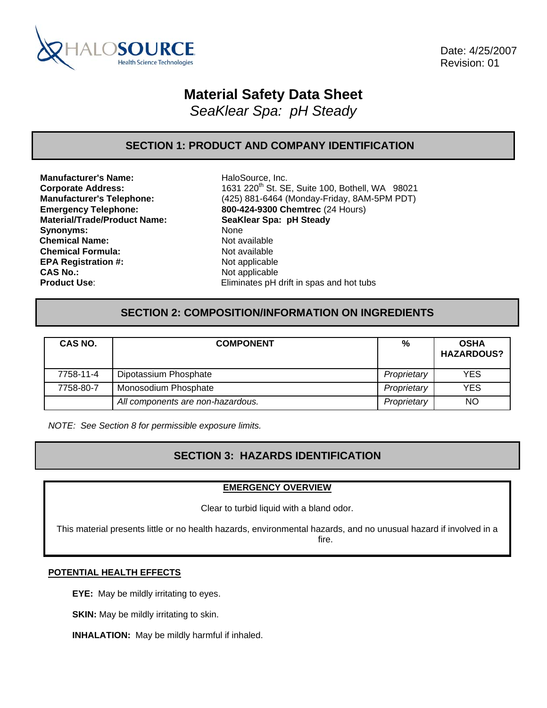

 Date: 4/25/2007 Revision: 01

# **Material Safety Data Sheet**

*SeaKlear Spa: pH Steady* 

# **SECTION 1: PRODUCT AND COMPANY IDENTIFICATION**

**Manufacturer's Name:** HaloSource, Inc. **Material/Trade/Product Name: SeaKlear Spa: pH Steady Synonyms: Chemical Name:** Not available **Chemical Formula:** Not available **EPA Registration #:** Not applicable **CAS No.:** Not applicable

**Corporate Address:** 1631 220<sup>th</sup> St. SE, Suite 100, Bothell, WA 98021 **Manufacturer's Telephone:** (425) 881-6464 (Monday-Friday, 8AM-5PM PDT) **Emergency Telephone: 800-424-9300 Chemtrec** (24 Hours) **Product Use:** Eliminates pH drift in spas and hot tubs

# **SECTION 2: COMPOSITION/INFORMATION ON INGREDIENTS**

| CAS NO.   | <b>COMPONENT</b>                  | %           | <b>OSHA</b><br><b>HAZARDOUS?</b> |
|-----------|-----------------------------------|-------------|----------------------------------|
| 7758-11-4 | Dipotassium Phosphate             | Proprietary | <b>YES</b>                       |
| 7758-80-7 | Monosodium Phosphate              | Proprietary | <b>YES</b>                       |
|           | All components are non-hazardous. | Proprietary | <b>NO</b>                        |

*NOTE: See Section 8 for permissible exposure limits.* 

# **SECTION 3: HAZARDS IDENTIFICATION**

### **EMERGENCY OVERVIEW**

Clear to turbid liquid with a bland odor.

This material presents little or no health hazards, environmental hazards, and no unusual hazard if involved in a fire.

### **POTENTIAL HEALTH EFFECTS**

**EYE:** May be mildly irritating to eyes.

**SKIN:** May be mildly irritating to skin.

**INHALATION:** May be mildly harmful if inhaled.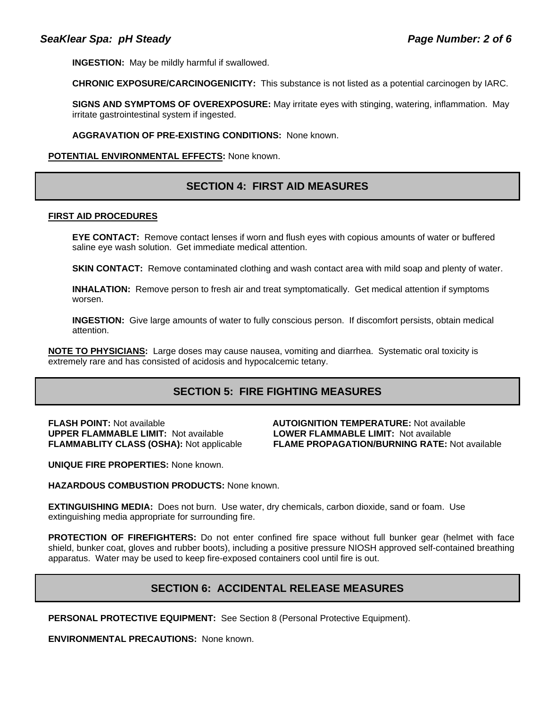**INGESTION:** May be mildly harmful if swallowed.

**CHRONIC EXPOSURE/CARCINOGENICITY:** This substance is not listed as a potential carcinogen by IARC.

**SIGNS AND SYMPTOMS OF OVEREXPOSURE:** May irritate eyes with stinging, watering, inflammation. May irritate gastrointestinal system if ingested.

**AGGRAVATION OF PRE-EXISTING CONDITIONS:** None known.

#### **POTENTIAL ENVIRONMENTAL EFFECTS:** None known.

### **SECTION 4: FIRST AID MEASURES**

#### **FIRST AID PROCEDURES**

**EYE CONTACT:** Remove contact lenses if worn and flush eyes with copious amounts of water or buffered saline eye wash solution. Get immediate medical attention.

**SKIN CONTACT:** Remove contaminated clothing and wash contact area with mild soap and plenty of water.

**INHALATION:** Remove person to fresh air and treat symptomatically. Get medical attention if symptoms worsen.

**INGESTION:** Give large amounts of water to fully conscious person. If discomfort persists, obtain medical attention.

**NOTE TO PHYSICIANS:** Large doses may cause nausea, vomiting and diarrhea. Systematic oral toxicity is extremely rare and has consisted of acidosis and hypocalcemic tetany.

### **SECTION 5: FIRE FIGHTING MEASURES**

**UPPER FLAMMABLE LIMIT:** Not available **LOWER FLAMMABLE LIMIT:** Not available

**FLASH POINT:** Not available **AUTOIGNITION TEMPERATURE:** Not available **FLAMMABLITY CLASS (OSHA):** Not applicable **FLAME PROPAGATION/BURNING RATE:** Not available

**UNIQUE FIRE PROPERTIES:** None known.

#### **HAZARDOUS COMBUSTION PRODUCTS:** None known.

**EXTINGUISHING MEDIA:** Does not burn. Use water, dry chemicals, carbon dioxide, sand or foam. Use extinguishing media appropriate for surrounding fire.

**PROTECTION OF FIREFIGHTERS:** Do not enter confined fire space without full bunker gear (helmet with face shield, bunker coat, gloves and rubber boots), including a positive pressure NIOSH approved self-contained breathing apparatus. Water may be used to keep fire-exposed containers cool until fire is out.

# **SECTION 6: ACCIDENTAL RELEASE MEASURES**

**PERSONAL PROTECTIVE EQUIPMENT:** See Section 8 (Personal Protective Equipment).

**ENVIRONMENTAL PRECAUTIONS:** None known.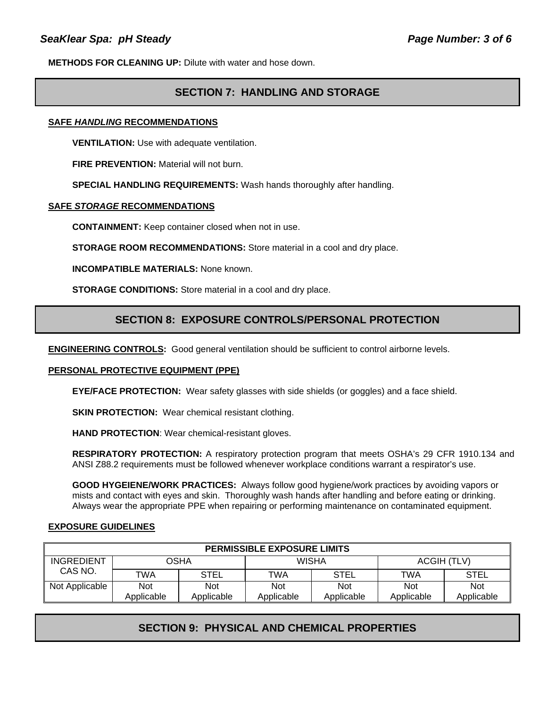**METHODS FOR CLEANING UP:** Dilute with water and hose down.

# **SECTION 7: HANDLING AND STORAGE**

### **SAFE** *HANDLING* **RECOMMENDATIONS**

**VENTILATION:** Use with adequate ventilation.

**FIRE PREVENTION: Material will not burn.** 

**SPECIAL HANDLING REQUIREMENTS:** Wash hands thoroughly after handling.

#### **SAFE** *STORAGE* **RECOMMENDATIONS**

**CONTAINMENT:** Keep container closed when not in use.

**STORAGE ROOM RECOMMENDATIONS:** Store material in a cool and dry place.

**INCOMPATIBLE MATERIALS:** None known.

**STORAGE CONDITIONS:** Store material in a cool and dry place.

### **SECTION 8: EXPOSURE CONTROLS/PERSONAL PROTECTION**

**ENGINEERING CONTROLS:** Good general ventilation should be sufficient to control airborne levels.

### **PERSONAL PROTECTIVE EQUIPMENT (PPE)**

**EYE/FACE PROTECTION:** Wear safety glasses with side shields (or goggles) and a face shield.

**SKIN PROTECTION: Wear chemical resistant clothing.** 

**HAND PROTECTION**: Wear chemical-resistant gloves.

**RESPIRATORY PROTECTION:** A respiratory protection program that meets OSHA's 29 CFR 1910.134 and ANSI Z88.2 requirements must be followed whenever workplace conditions warrant a respirator's use.

**GOOD HYGEIENE/WORK PRACTICES:** Always follow good hygiene/work practices by avoiding vapors or mists and contact with eyes and skin. Thoroughly wash hands after handling and before eating or drinking. Always wear the appropriate PPE when repairing or performing maintenance on contaminated equipment.

### **EXPOSURE GUIDELINES**

| <b>PERMISSIBLE EXPOSURE LIMITS</b> |                   |                          |                   |                          |                   |                          |
|------------------------------------|-------------------|--------------------------|-------------------|--------------------------|-------------------|--------------------------|
| <b>INGREDIENT</b>                  | <b>OSHA</b>       |                          | <b>WISHA</b>      |                          | ACGIH (TLV)       |                          |
| CAS NO.                            | <b>TWA</b>        | <b>STEL</b>              | TWA               | STEL                     | <b>TWA</b>        | STEL                     |
| Not Applicable                     | Not<br>Applicable | <b>Not</b><br>Applicable | Not<br>Applicable | <b>Not</b><br>Applicable | Not<br>Applicable | <b>Not</b><br>Applicable |

# **SECTION 9: PHYSICAL AND CHEMICAL PROPERTIES**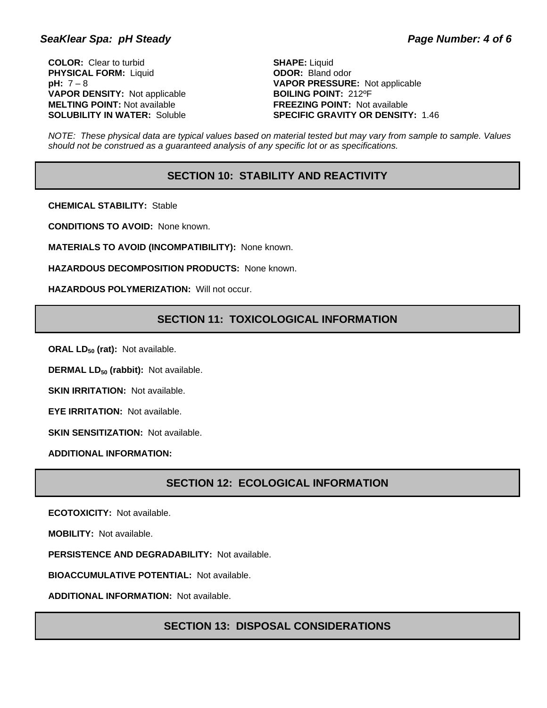### SeaKlear Spa: pH Steady **Page Number: 4 of 6**

**COLOR:** Clear to turbid **SHAPE:** Liquid **PHYSICAL FORM:** Liquid **ODOR:** Bland odor **VAPOR DENSITY:** Not applicable **BOILING POINT:** 212°F **MELTING POINT:** Not available<br> **SOLUBILITY IN WATER:** Soluble<br> **SPECIFIC GRAVITY OR DENSIT'** 

**pH:** 7 – 8 **VAPOR PRESSURE:** Not applicable **SPECIFIC GRAVITY OR DENSITY: 1.46** 

*NOTE: These physical data are typical values based on material tested but may vary from sample to sample. Values should not be construed as a guaranteed analysis of any specific lot or as specifications.*

### **SECTION 10: STABILITY AND REACTIVITY**

**CHEMICAL STABILITY:** Stable

**CONDITIONS TO AVOID:** None known.

**MATERIALS TO AVOID (INCOMPATIBILITY):** None known.

**HAZARDOUS DECOMPOSITION PRODUCTS:** None known.

**HAZARDOUS POLYMERIZATION:** Will not occur.

### **SECTION 11: TOXICOLOGICAL INFORMATION**

**ORAL LD<sub>50</sub> (rat):** Not available.

**DERMAL LD<sub>50</sub> (rabbit):** Not available.

**SKIN IRRITATION: Not available.** 

**EYE IRRITATION:** Not available.

**SKIN SENSITIZATION: Not available.** 

**ADDITIONAL INFORMATION:**

# **SECTION 12: ECOLOGICAL INFORMATION**

**ECOTOXICITY:** Not available.

**MOBILITY:** Not available.

**PERSISTENCE AND DEGRADABILITY:** Not available.

**BIOACCUMULATIVE POTENTIAL:** Not available.

**ADDITIONAL INFORMATION:** Not available.

### **SECTION 13: DISPOSAL CONSIDERATIONS**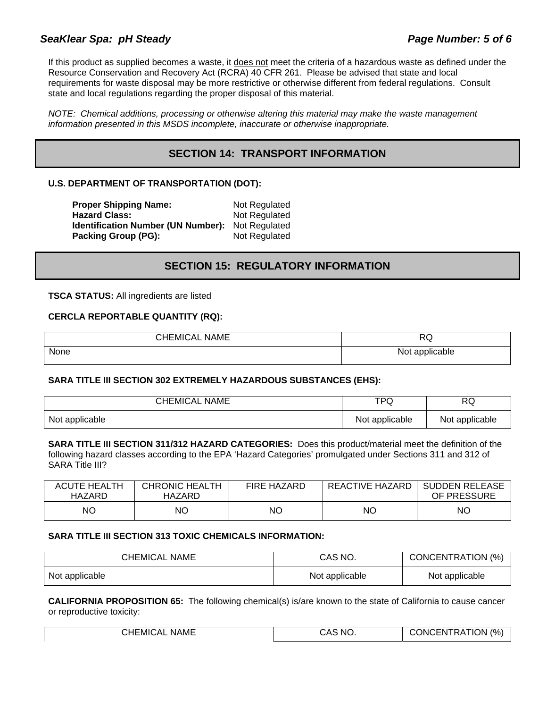# **SeaKlear Spa: pH Steady Page Number: 5 of 6**

If this product as supplied becomes a waste, it does not meet the criteria of a hazardous waste as defined under the Resource Conservation and Recovery Act (RCRA) 40 CFR 261. Please be advised that state and local requirements for waste disposal may be more restrictive or otherwise different from federal regulations. Consult state and local regulations regarding the proper disposal of this material.

*NOTE: Chemical additions, processing or otherwise altering this material may make the waste management information presented in this MSDS incomplete, inaccurate or otherwise inappropriate.* 

# **SECTION 14: TRANSPORT INFORMATION**

### **U.S. DEPARTMENT OF TRANSPORTATION (DOT):**

| <b>Proper Shipping Name:</b>              | Not Regulated |
|-------------------------------------------|---------------|
| <b>Hazard Class:</b>                      | Not Regulated |
| <b>Identification Number (UN Number):</b> | Not Regulated |
| Packing Group (PG):                       | Not Regulated |

# **SECTION 15: REGULATORY INFORMATION**

**TSCA STATUS:** All ingredients are listed

### **CERCLA REPORTABLE QUANTITY (RQ):**

| <b>CHEMICAL NAME</b> | DГ<br>שמ       |
|----------------------|----------------|
| None                 | Not applicable |

### **SARA TITLE III SECTION 302 EXTREMELY HAZARDOUS SUBSTANCES (EHS):**

| <b>CHEMICAL NAME</b> | ™⊃<br>ע-       | RQ             |
|----------------------|----------------|----------------|
| Not applicable       | Not applicable | Not applicable |

**SARA TITLE III SECTION 311/312 HAZARD CATEGORIES:** Does this product/material meet the definition of the following hazard classes according to the EPA 'Hazard Categories' promulgated under Sections 311 and 312 of SARA Title III?

| <b>ACUTE HEALTH</b><br>HAZARD | <b>CHRONIC HEALTH</b><br>HAZARD | <b>FIRE HAZARD</b> | REACTIVE HAZARD | <b>SUDDEN RELEASE</b><br>OF PRESSURE |
|-------------------------------|---------------------------------|--------------------|-----------------|--------------------------------------|
| ΝC                            | ΝO                              | ΝO                 | NC              | NΟ                                   |

### **SARA TITLE III SECTION 313 TOXIC CHEMICALS INFORMATION:**

| <b>CHEMICAL NAME</b> | CAS NO.        | CONCENTRATION (%) |
|----------------------|----------------|-------------------|
| Not applicable       | Not applicable | Not applicable    |

**CALIFORNIA PROPOSITION 65:** The following chemical(s) is/are known to the state of California to cause cancer or reproductive toxicity:

| <b>CHEMICAL</b><br><b>NAME</b> | <b>CAS NO</b> | <b>CONCENTRATION (%)</b> |
|--------------------------------|---------------|--------------------------|
|                                |               |                          |